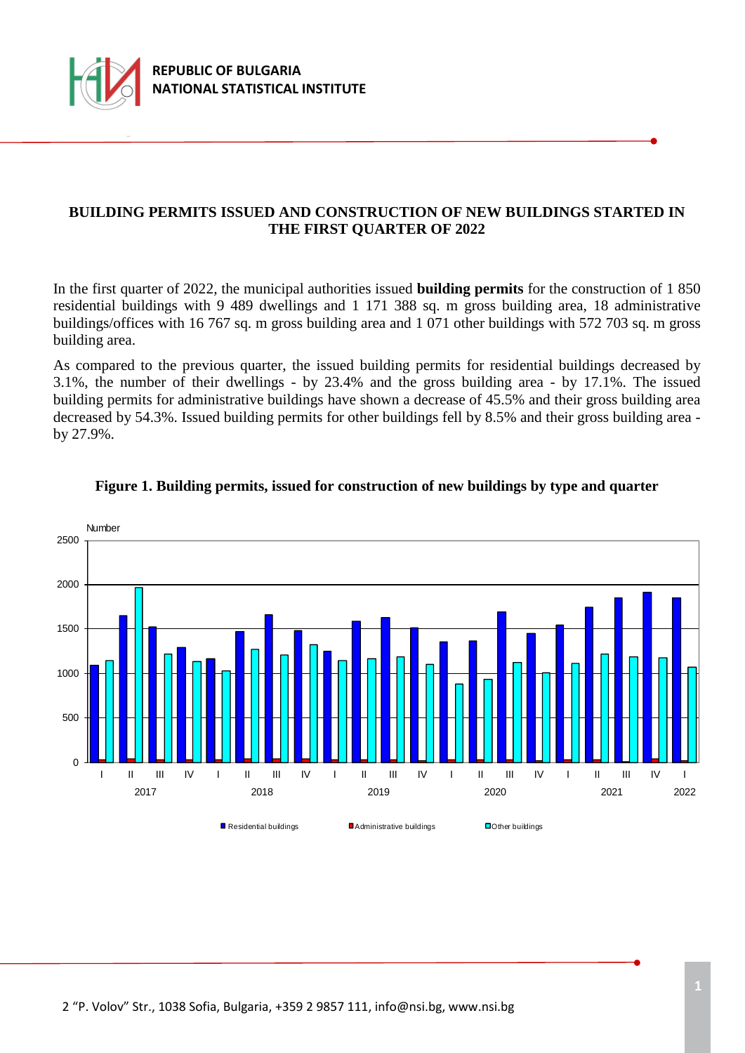

## **BUILDING PERMITS ISSUED AND CONSTRUCTION OF NEW BUILDINGS STARTED IN THE FIRST QUARTER OF 2022**

In the first quarter of 2022, the municipal authorities issued **building permits** for the construction of 1 850 residential buildings with 9 489 dwellings and 1 171 388 sq. m gross building area, 18 administrative buildings/offices with 16 767 sq. m gross building area and 1 071 other buildings with 572 703 sq. m gross building area.

As compared to the previous quarter, the issued building permits for residential buildings decreased by 3.1%, the number of their dwellings - by 23.4% and the gross building area - by 17.1%. The issued building permits for administrative buildings have shown a decrease of 45.5% and their gross building area decreased by 54.3%. Issued building permits for other buildings fell by 8.5% and their gross building area by 27.9%.



#### **Figure 1. Building permits, issued for construction of new buildings by type and quarter**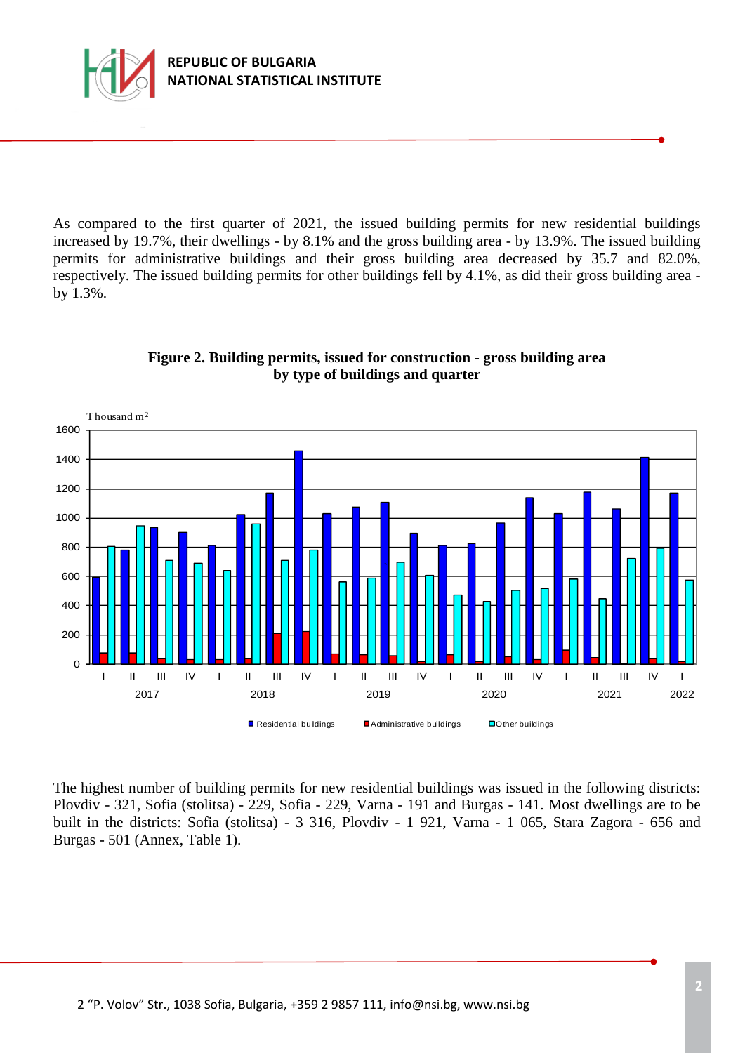

As compared to the first quarter of 2021, the issued building permits for new residential buildings increased by 19.7%, their dwellings - by 8.1% and the gross building area - by 13.9%. The issued building permits for administrative buildings and their gross building area decreased by 35.7 and 82.0%, respectively. The issued building permits for other buildings fell by 4.1%, as did their gross building area by 1.3%.



### **Figure 2. Building permits, issued for construction - gross building area by type of buildings and quarter**

The highest number of building permits for new residential buildings was issued in the following districts: Plovdiv - 321, Sofia (stolitsa) - 229, Sofia - 229, Varna - 191 and Burgas - 141. Most dwellings are to be built in the districts: Sofia (stolitsa) - 3 316, Plovdiv - 1 921, Varna - 1 065, Stara Zagora - 656 and Burgas - 501 (Annex, Table 1).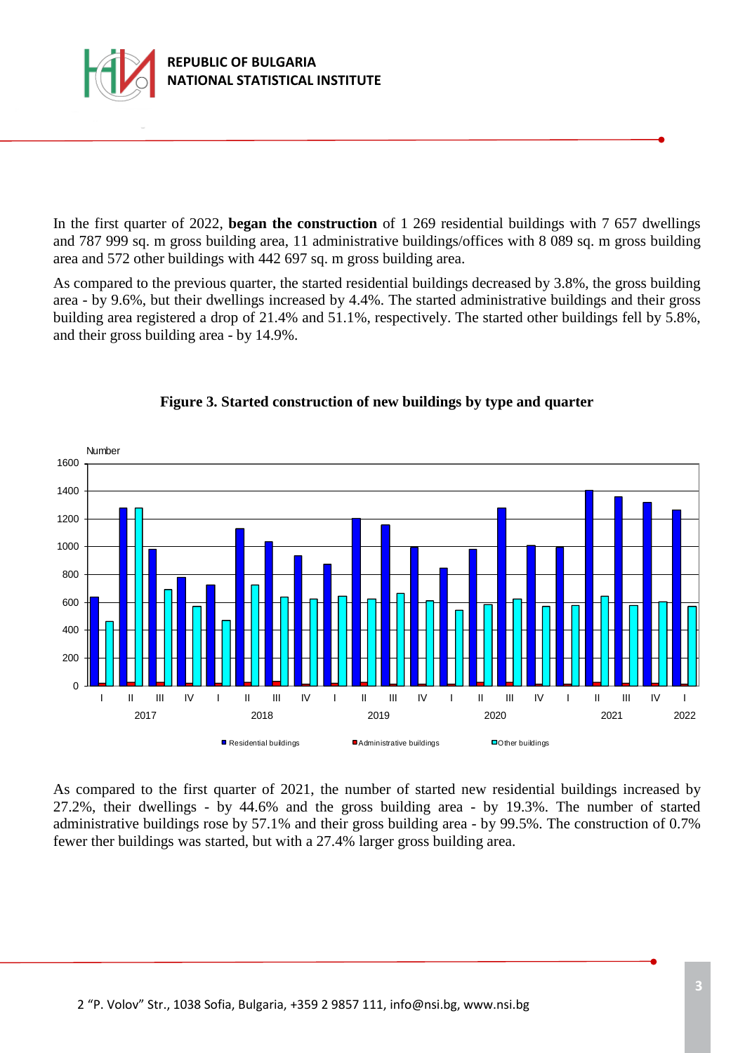

In the first quarter of 2022, **began the construction** of 1 269 residential buildings with 7 657 dwellings and 787 999 sq. m gross building area, 11 administrative buildings/offices with 8 089 sq. m gross building area and 572 other buildings with 442 697 sq. m gross building area.

As compared to the previous quarter, the started residential buildings decreased by 3.8%, the gross building area - by 9.6%, but their dwellings increased by 4.4%. The started administrative buildings and their gross building area registered a drop of 21.4% and 51.1%, respectively. The started other buildings fell by 5.8%, and their gross building area - by 14.9%.



## **Figure 3. Started construction of new buildings by type and quarter**

As compared to the first quarter of 2021, the number of started new residential buildings increased by 27.2%, their dwellings - by 44.6% and the gross building area - by 19.3%. The number of started administrative buildings rose by 57.1% and their gross building area - by 99.5%. The construction of 0.7% fewer ther buildings was started, but with a 27.4% larger gross building area.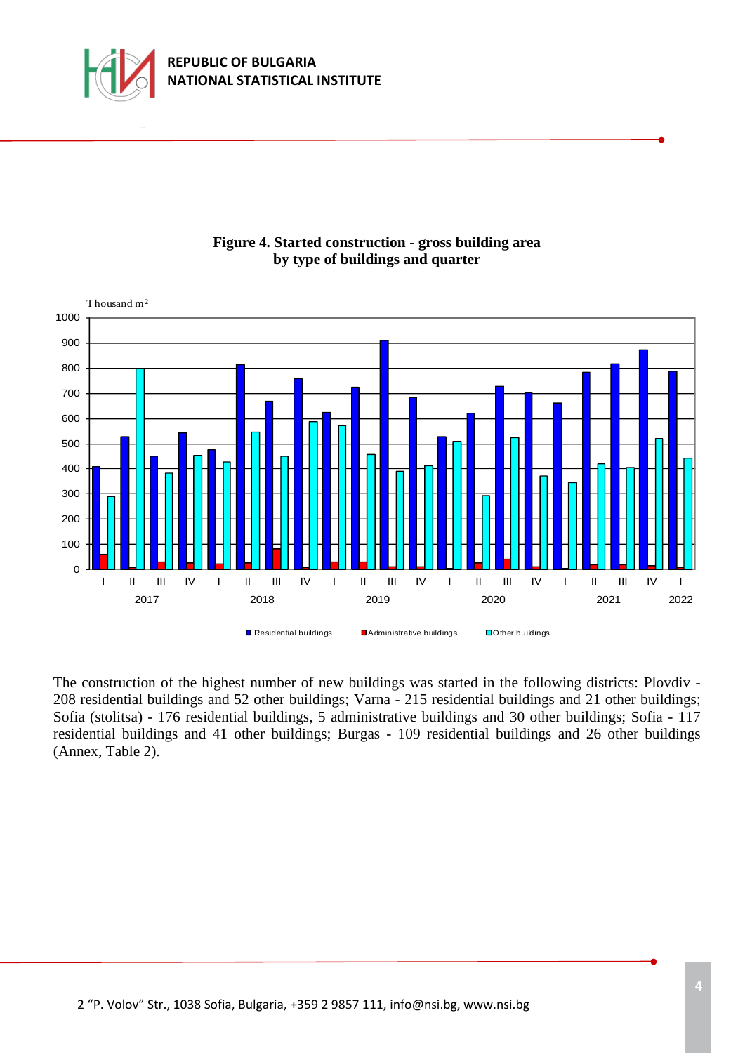





The construction of the highest number of new buildings was started in the following districts: Plovdiv - 208 residential buildings and 52 other buildings; Varna - 215 residential buildings and 21 other buildings; Sofia (stolitsa) - 176 residential buildings, 5 administrative buildings and 30 other buildings; Sofia - 117 residential buildings and 41 other buildings; Burgas - 109 residential buildings and 26 other buildings (Annex, Table 2).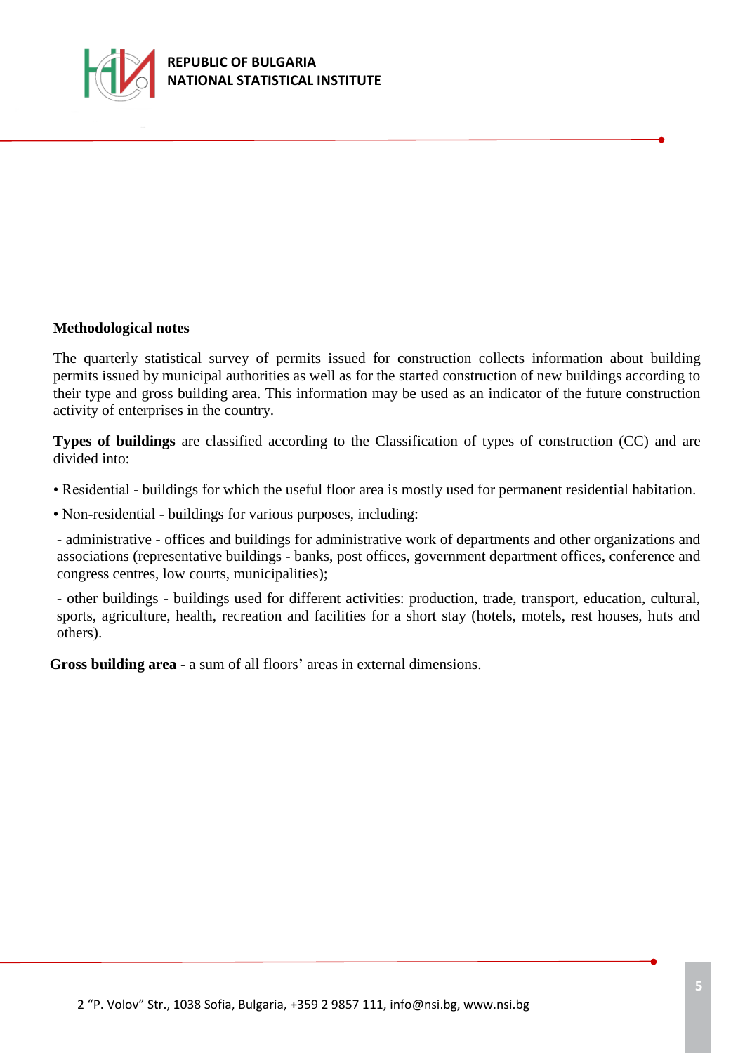

#### **Methodological notes**

The quarterly statistical survey of permits issued for construction collects information about building permits issued by municipal authorities as well as for the started construction of new buildings according to their type and gross building area. This information may be used as an indicator of the future construction activity of enterprises in the country.

**Types of buildings** are classified according to the Classification of types of construction (CC) and are divided into:

• Residential - buildings for which the useful floor area is mostly used for permanent residential habitation.

• Non-residential *-* buildings for various purposes, including:

- administrative - offices and buildings for administrative work of departments and other organizations and associations (representative buildings - banks, post offices, government department offices, conference and congress centres, low courts, municipalities);

- other buildings - buildings used for different activities: production, trade, transport, education, cultural, sports, agriculture, health, recreation and facilities for a short stay (hotels, motels, rest houses, huts and others).

**Gross building area -** a sum of all floors' areas in external dimensions.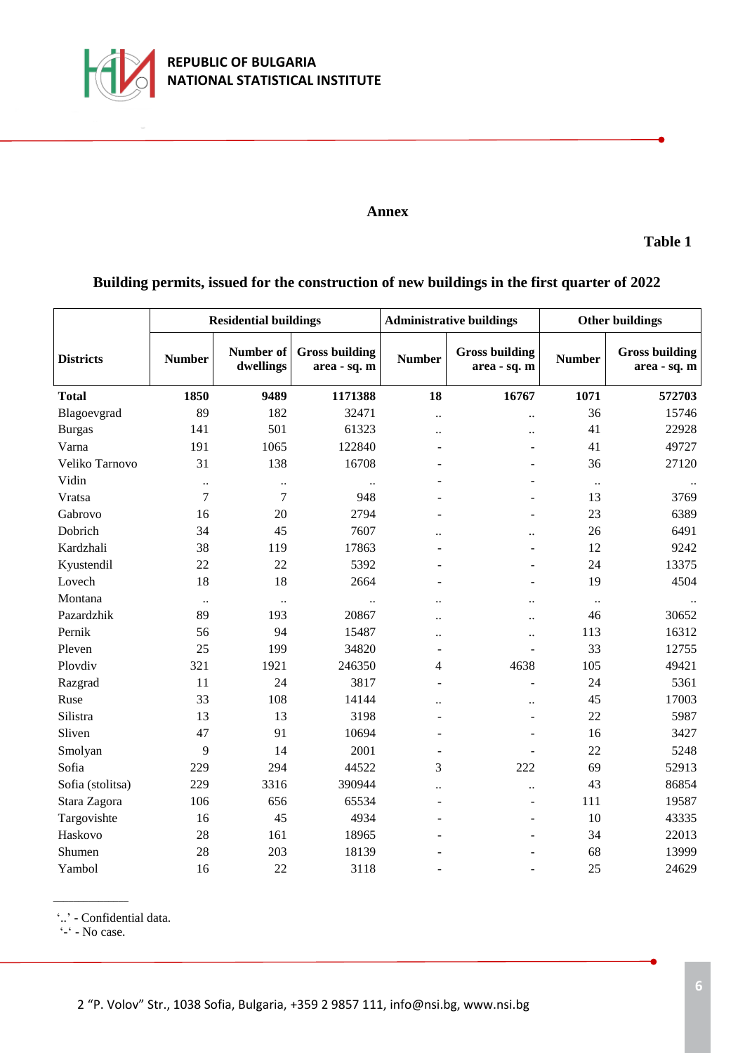

#### **Annex**

**Table 1**

# **Building permits, issued for the construction of new buildings in the first quarter of 2022**

|                  | <b>Residential buildings</b> |                        |                                       | <b>Administrative buildings</b> |                                       | <b>Other buildings</b> |                                       |
|------------------|------------------------------|------------------------|---------------------------------------|---------------------------------|---------------------------------------|------------------------|---------------------------------------|
| <b>Districts</b> | <b>Number</b>                | Number of<br>dwellings | <b>Gross building</b><br>area - sq. m | <b>Number</b>                   | <b>Gross building</b><br>area - sq. m | <b>Number</b>          | <b>Gross building</b><br>area - sq. m |
| <b>Total</b>     | 1850                         | 9489                   | 1171388                               | 18                              | 16767                                 | 1071                   | 572703                                |
| Blagoevgrad      | 89                           | 182                    | 32471                                 | $\ddot{\phantom{0}}$            | $\ddot{\phantom{0}}$                  | 36                     | 15746                                 |
| <b>Burgas</b>    | 141                          | 501                    | 61323                                 | $\ddot{\phantom{a}}$            | $\ddot{\phantom{a}}$                  | 41                     | 22928                                 |
| Varna            | 191                          | 1065                   | 122840                                | $\blacksquare$                  | $\overline{a}$                        | 41                     | 49727                                 |
| Veliko Tarnovo   | 31                           | 138                    | 16708                                 |                                 |                                       | 36                     | 27120                                 |
| Vidin            | $\ddot{\phantom{0}}$         | $\ddotsc$              |                                       |                                 |                                       | $\ddotsc$              |                                       |
| Vratsa           | $\overline{7}$               | $\overline{7}$         | 948                                   |                                 |                                       | 13                     | 3769                                  |
| Gabrovo          | 16                           | 20                     | 2794                                  |                                 |                                       | 23                     | 6389                                  |
| Dobrich          | 34                           | 45                     | 7607                                  | $\ddot{\phantom{a}}$            | $\ddot{\phantom{a}}$                  | 26                     | 6491                                  |
| Kardzhali        | 38                           | 119                    | 17863                                 |                                 | L.                                    | 12                     | 9242                                  |
| Kyustendil       | 22                           | 22                     | 5392                                  |                                 | L.                                    | 24                     | 13375                                 |
| Lovech           | 18                           | 18                     | 2664                                  |                                 | L.                                    | 19                     | 4504                                  |
| Montana          | $\ddotsc$                    | $\ddots$               | $\ddot{\phantom{a}}$                  | $\ddotsc$                       | $\ddot{\phantom{a}}$                  | $\ldots$               |                                       |
| Pazardzhik       | 89                           | 193                    | 20867                                 | $\ddot{\phantom{a}}$            | $\ddot{\phantom{a}}$                  | 46                     | 30652                                 |
| Pernik           | 56                           | 94                     | 15487                                 | $\ddot{\phantom{0}}$            | $\ddot{\phantom{a}}$                  | 113                    | 16312                                 |
| Pleven           | 25                           | 199                    | 34820                                 | $\overline{\phantom{a}}$        | $\overline{\phantom{0}}$              | 33                     | 12755                                 |
| Plovdiv          | 321                          | 1921                   | 246350                                | 4                               | 4638                                  | 105                    | 49421                                 |
| Razgrad          | 11                           | 24                     | 3817                                  | ÷.                              | L                                     | 24                     | 5361                                  |
| Ruse             | 33                           | 108                    | 14144                                 |                                 | $\ddot{\phantom{a}}$                  | 45                     | 17003                                 |
| Silistra         | 13                           | 13                     | 3198                                  |                                 | $\overline{\phantom{0}}$              | 22                     | 5987                                  |
| Sliven           | 47                           | 91                     | 10694                                 | ÷                               | $\overline{\phantom{0}}$              | 16                     | 3427                                  |
| Smolyan          | 9                            | 14                     | 2001                                  | $\blacksquare$                  | ÷.                                    | 22                     | 5248                                  |
| Sofia            | 229                          | 294                    | 44522                                 | 3                               | 222                                   | 69                     | 52913                                 |
| Sofia (stolitsa) | 229                          | 3316                   | 390944                                | $\ddot{\phantom{a}}$            | $\ddot{\phantom{a}}$                  | 43                     | 86854                                 |
| Stara Zagora     | 106                          | 656                    | 65534                                 | $\blacksquare$                  | L.                                    | 111                    | 19587                                 |
| Targovishte      | 16                           | 45                     | 4934                                  | $\blacksquare$                  | L.                                    | 10                     | 43335                                 |
| Haskovo          | 28                           | 161                    | 18965                                 |                                 |                                       | 34                     | 22013                                 |
| Shumen           | 28                           | 203                    | 18139                                 |                                 |                                       | 68                     | 13999                                 |
| Yambol           | 16                           | 22                     | 3118                                  |                                 |                                       | 25                     | 24629                                 |

'..' - Confidential data.

'-' - No case.

\_\_\_\_\_\_\_\_\_\_\_\_\_\_\_